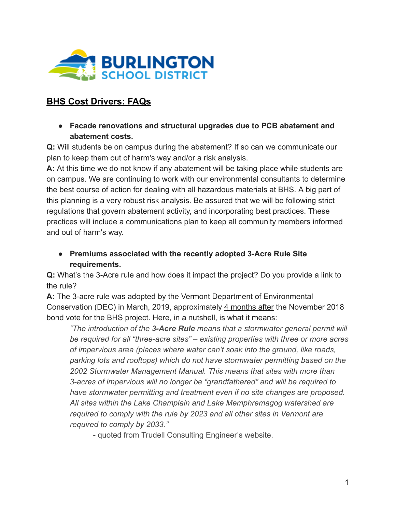

# **BHS Cost Drivers: FAQs**

**● Facade renovations and structural upgrades due to PCB abatement and abatement costs.** 

**Q:** Will students be on campus during the abatement? If so can we communicate our plan to keep them out of harm's way and/or a risk analysis.

**A:** At this time we do not know if any abatement will be taking place while students are on campus. We are continuing to work with our environmental consultants to determine the best course of action for dealing with all hazardous materials at BHS. A big part of this planning is a very robust risk analysis. Be assured that we will be following strict regulations that govern abatement activity, and incorporating best practices. These practices will include a communications plan to keep all community members informed and out of harm's way.

**● Premiums associated with the recently adopted 3-Acre Rule Site requirements.** 

**Q:** What's the 3-Acre rule and how does it impact the project? Do you provide a link to the rule?

**A:** The 3-acre rule was adopted by the Vermont Department of Environmental Conservation (DEC) in March, 2019, approximately 4 months after the November 2018 bond vote for the BHS project. Here, in a nutshell, is what it means:

*" The introduction of the 3-Acre Rule means that a stormwater general permit will be required for all "three-acre sites" – existing properties with three or more acres of impervious area (places where water can't soak into the ground, like roads, parking lots and rooftops) which do not have stormwater permitting based on the 2002 Stormwater Management Manual. This means that sites with more than 3-acres of impervious will no longer be "grandfathered" and will be required to have stormwater permitting and treatment even if no site changes are proposed. All sites within the Lake Champlain and Lake Memphremagog watershed are required to comply with the rule by 2023 and all other sites in Vermont are required to comply by 2033."* 

- quoted from Trudell Consulting Engineer's website.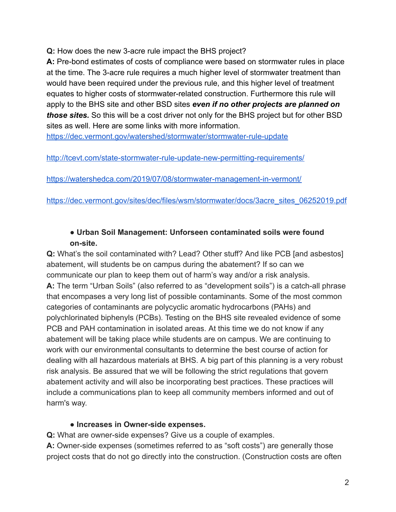**Q:** How does the new 3-acre rule impact the BHS project?

**A:** Pre-bond estimates of costs of compliance were based on stormwater rules in place at the time. The 3-acre rule requires a much higher level of stormwater treatment than would have been required under the previous rule, and this higher level of treatment equates to higher costs of stormwater-related construction. Furthermore this rule will apply to the BHS site and other BSD sites *even if no other projects are planned on those sites.* So this will be a cost driver not only for the BHS project but for other BSD sites as well. Here are some links with more information.

https://dec.vermont.gov/watershed/stormwater/stormwater-rule-update

http://tcevt.com/state-stormwater-rule-update-new-permitting-requirements/

https://watershedca.com/2019/07/08/stormwater-management-in-vermont/

https://dec.vermont.gov/sites/dec/files/wsm/stormwater/docs/3acre\_sites\_06252019.pdf

### **● Urban Soil Management: Unforseen contaminated soils were found on-site.**

**Q:** What's the soil contaminated with? Lead? Other stuff? And like PCB [and asbestos] abatement, will students be on campus during the abatement? If so can we communicate our plan to keep them out of harm's way and/or a risk analysis. **A:** The term "Urban Soils" (also referred to as "development soils") is a catch-all phrase that encompases a very long list of possible contaminants. Some of the most common categories of contaminants are polycyclic aromatic hydrocarbons (PAHs) and polychlorinated biphenyls (PCBs). Testing on the BHS site revealed evidence of some PCB and PAH contamination in isolated areas. At this time we do not know if any abatement will be taking place while students are on campus. We are continuing to work with our environmental consultants to determine the best course of action for dealing with all hazardous materials at BHS. A big part of this planning is a very robust risk analysis. Be assured that we will be following the strict regulations that govern abatement activity and will also be incorporating best practices. These practices will include a communications plan to keep all community members informed and out of harm's way.

## **● Increases in Owner-side expenses.**

**Q:** What are owner-side expenses? Give us a couple of examples.

**A:** Owner-side expenses (sometimes referred to as "soft costs") are generally those project costs that do not go directly into the construction. (Construction costs are often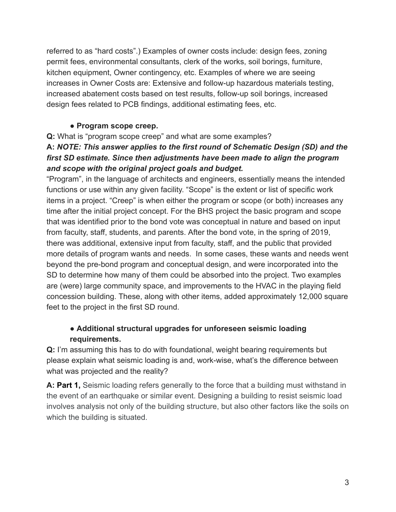referred to as "hard costs".) Examples of owner costs include: design fees, zoning permit fees, environmental consultants, clerk of the works, soil borings, furniture, kitchen equipment, Owner contingency, etc. Examples of where we are seeing increases in Owner Costs are: Extensive and follow-up hazardous materials testing, increased abatement costs based on test results, follow-up soil borings, increased design fees related to PCB findings, additional estimating fees, etc.

#### **● Program scope creep.**

**Q:** What is "program scope creep" and what are some examples?

## **A:** *NOTE: This answer applies to the first round of Schematic Design (SD) and the first SD estimate. Since then adjustments have been made to align the program and scope with the original project goals and budget.*

"Program", in the language of architects and engineers, essentially means the intended functions or use within any given facility. "Scope" is the extent or list of specific work items in a project. "Creep" is when either the program or scope (or both) increases any time after the initial project concept. For the BHS project the basic program and scope that was identified prior to the bond vote was conceptual in nature and based on input from faculty, staff, students, and parents. After the bond vote, in the spring of 2019, there was additional, extensive input from faculty, staff, and the public that provided more details of program wants and needs. In some cases, these wants and needs went beyond the pre-bond program and conceptual design, and were incorporated into the SD to determine how many of them could be absorbed into the project. Two examples are (were) large community space, and improvements to the HVAC in the playing field concession building. These, along with other items, added approximately 12,000 square feet to the project in the first SD round.

## **● Additional structural upgrades for unforeseen seismic loading requirements.**

**Q:** I'm assuming this has to do with foundational, weight bearing requirements but please explain what seismic loading is and, work-wise, what's the difference between what was projected and the reality?

**A: Part 1,** Seismic loading refers generally to the force that a building must withstand in the event of an earthquake or similar event. Designing a building to resist seismic load involves analysis not only of the building structure, but also other factors like the soils on which the building is situated.